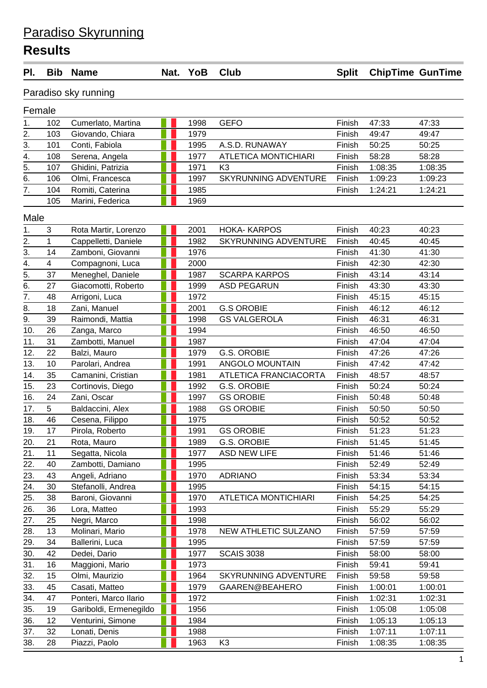## Paradiso Skyrunning

## **Results**

| PI.              | <b>Bib</b> | <b>Name</b>            |   | Nat. YoB | <b>Club</b>                 | <b>Split</b> | <b>ChipTime GunTime</b> |         |
|------------------|------------|------------------------|---|----------|-----------------------------|--------------|-------------------------|---------|
|                  |            | Paradiso sky running   |   |          |                             |              |                         |         |
| Female           |            |                        |   |          |                             |              |                         |         |
| 1.               | 102        | Cumerlato, Martina     |   | 1998     | <b>GEFO</b>                 | Finish       | 47:33                   | 47:33   |
| 2.               | 103        | Giovando, Chiara       |   | 1979     |                             | Finish       | 49:47                   | 49:47   |
| $\overline{3}$ . | 101        | Conti, Fabiola         |   | 1995     | A.S.D. RUNAWAY              | Finish       | 50:25                   | 50:25   |
| 4.               | 108        | Serena, Angela         |   | 1977     | <b>ATLETICA MONTICHIARI</b> | Finish       | 58:28                   | 58:28   |
| $\overline{5}$ . | 107        | Ghidini, Patrizia      |   | 1971     | K <sub>3</sub>              | Finish       | 1:08:35                 | 1:08:35 |
| 6.               | 106        | Olmi, Francesca        |   | 1997     | SKYRUNNING ADVENTURE        | Finish       | 1:09:23                 | 1:09:23 |
| 7.               | 104        | Romiti, Caterina       |   | 1985     |                             | Finish       | 1:24:21                 | 1:24:21 |
|                  | 105        | Marini, Federica       |   | 1969     |                             |              |                         |         |
| Male             |            |                        |   |          |                             |              |                         |         |
| 1.               | 3          | Rota Martir, Lorenzo   |   | 2001     | <b>HOKA-KARPOS</b>          | Finish       | 40:23                   | 40:23   |
| 2.               | 1          | Cappelletti, Daniele   |   | 1982     | SKYRUNNING ADVENTURE        | Finish       | 40:45                   | 40:45   |
| 3.               | 14         | Zamboni, Giovanni      |   | 1976     |                             | Finish       | 41:30                   | 41:30   |
| 4.               | 4          | Compagnoni, Luca       |   | 2000     |                             | Finish       | 42:30                   | 42:30   |
| $\overline{5}$ . | 37         | Meneghel, Daniele      |   | 1987     | <b>SCARPA KARPOS</b>        | Finish       | 43:14                   | 43:14   |
| 6.               | 27         | Giacomotti, Roberto    |   | 1999     | <b>ASD PEGARUN</b>          | Finish       | 43:30                   | 43:30   |
| $\overline{7}$ . | 48         | Arrigoni, Luca         |   | 1972     |                             | Finish       | 45:15                   | 45:15   |
| 8.               | 18         | Zani, Manuel           |   | 2001     | <b>G.S OROBIE</b>           | Finish       | 46:12                   | 46:12   |
| 9.               | 39         | Raimondi, Mattia       |   | 1998     | <b>GS VALGEROLA</b>         | Finish       | 46:31                   | 46:31   |
| 10.              | 26         | Zanga, Marco           |   | 1994     |                             | Finish       | 46:50                   | 46:50   |
| 11.              | 31         | Zambotti, Manuel       |   | 1987     |                             | Finish       | 47:04                   | 47:04   |
| 12.              | 22         | Balzi, Mauro           |   | 1979     | <b>G.S. OROBIE</b>          | Finish       | 47:26                   | 47:26   |
| 13.              | 10         | Parolari, Andrea       |   | 1991     | ANGOLO MOUNTAIN             | Finish       | 47:42                   | 47:42   |
| 14.              | 35         | Camanini, Cristian     |   | 1981     | ATLETICA FRANCIACORTA       | Finish       | 48:57                   | 48:57   |
| 15.              | 23         | Cortinovis, Diego      |   | 1992     | <b>G.S. OROBIE</b>          | Finish       | 50:24                   | 50:24   |
| 16.              | 24         | Zani, Oscar            |   | 1997     | <b>GS OROBIE</b>            | Finish       | 50:48                   | 50:48   |
| 17.              | 5          | Baldaccini, Alex       |   | 1988     | <b>GS OROBIE</b>            | Finish       | 50:50                   | 50:50   |
| 18.              | 46         | Cesena, Filippo        |   | 1975     |                             | Finish       | 50:52                   | 50:52   |
| 19.              | 17         | Pirola, Roberto        | . | 1991     | <b>GS OROBIE</b>            | Finish       | 51:23                   | 51:23   |
| 20.              | 21         | Rota, Mauro            |   | 1989     | G.S. OROBIE                 | Finish       | 51:45                   | 51:45   |
| 21.              | 11         | Segatta, Nicola        |   | 1977     | <b>ASD NEW LIFE</b>         | Finish       | 51:46                   | 51:46   |
| 22.              | 40         | Zambotti, Damiano      |   | 1995     |                             | Finish       | 52:49                   | 52:49   |
| 23.              | 43         | Angeli, Adriano        |   | 1970     | <b>ADRIANO</b>              | Finish       | 53:34                   | 53:34   |
| 24.              | 30         | Stefanolli, Andrea     |   | 1995     |                             | Finish       | 54:15                   | 54:15   |
| 25.              | 38         | Baroni, Giovanni       |   | 1970     | <b>ATLETICA MONTICHIARI</b> | Finish       | 54:25                   | 54:25   |
| 26.              | 36         | Lora, Matteo           |   | 1993     |                             | Finish       | 55:29                   | 55:29   |
| 27.              | 25         | Negri, Marco           |   | 1998     |                             | Finish       | 56:02                   | 56:02   |
| 28.              | 13         | Molinari, Mario        |   | 1978     | NEW ATHLETIC SULZANO        | Finish       | 57:59                   | 57:59   |
| 29.              | 34         | Ballerini, Luca        |   | 1995     |                             | Finish       | 57:59                   | 57:59   |
| 30.              | 42         | Dedei, Dario           |   | 1977     | <b>SCAIS 3038</b>           | Finish       | 58:00                   | 58:00   |
| 31.              | 16         | Maggioni, Mario        |   | 1973     |                             | Finish       | 59:41                   | 59:41   |
| 32.              | 15         | Olmi, Maurizio         |   | 1964     | <b>SKYRUNNING ADVENTURE</b> | Finish       | 59:58                   | 59:58   |
| 33.              | 45         | Casati, Matteo         |   | 1979     | GAAREN@BEAHERO              | Finish       | 1:00:01                 | 1:00:01 |
| 34.              | 47         | Ponteri, Marco Ilario  |   | 1972     |                             | Finish       | 1:02:31                 | 1:02:31 |
| 35.              | 19         | Gariboldi, Ermenegildo |   | 1956     |                             | Finish       | 1:05:08                 | 1:05:08 |
| 36.              | 12         | Venturini, Simone      |   | 1984     |                             | Finish       | 1:05:13                 | 1:05:13 |
| 37.              | 32         | Lonati, Denis          |   | 1988     |                             | Finish       | 1:07:11                 | 1:07:11 |
| 38.              | 28         | Piazzi, Paolo          |   | 1963     | K <sub>3</sub>              | Finish       | 1:08:35                 | 1:08:35 |